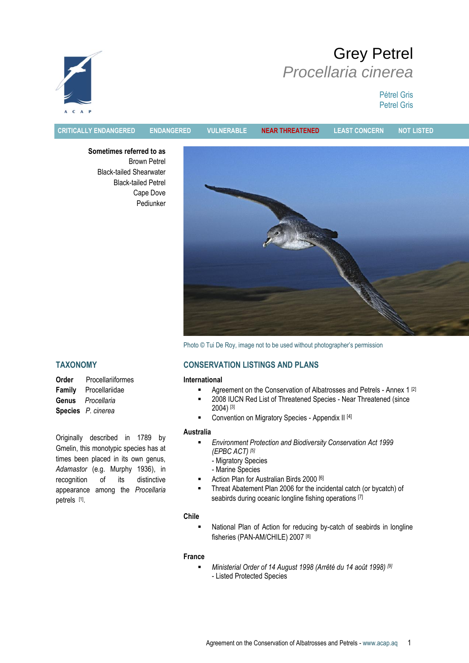# Grey Petrel *Procellaria cinerea*

Pétrel Gris Petrel Gris



**CRITICALLY ENDANGERED ENDANGERED VULNERABLE NEAR THREATENED LEAST CONCERN NOT LISTED**

**Sometimes referred to as** Brown Petrel Black-tailed Shearwater Black-tailed Petrel Cape Dove Pediunker



Photo © Tui De Roy, image not to be used without photographer's permission

## **TAXONOMY**

**Order** Procellariiformes **Family** Procellariidae **Genus** *Procellaria* **Species** *P. cinerea*

Originally described in 1789 by Gmelin, this monotypic species has at times been placed in its own genus, *Adamastor* (e.g. Murphy 1936), in recognition of its distinctive appearance among the *Procellaria* petrels [1].

## **CONSERVATION LISTINGS AND PLANS**

## **International**

- **Agreement on the Conservation of Albatrosses and Petrels Annex 1 [2]**
- **2008 IUCN Red List of Threatened Species Near Threatened (since** 2004) [3]
- Convention on Migratory Species Appendix II [4]

## **Australia**

- *Environment Protection and Biodiversity Conservation Act 1999 (EPBC ACT) [5]*
	- Migratory Species
	- Marine Species
- Action Plan for Australian Birds 2000 [6]
- Threat Abatement Plan 2006 for the incidental catch (or bycatch) of seabirds during oceanic longline fishing operations [7]

## **Chile**

 National Plan of Action for reducing by-catch of seabirds in longline fisheries (PAN-AM/CHILE) 2007 [8]

## **France**

 *Ministerial Order of 14 August 1998 (Arrêté du 14 août 1998) [9]* - Listed Protected Species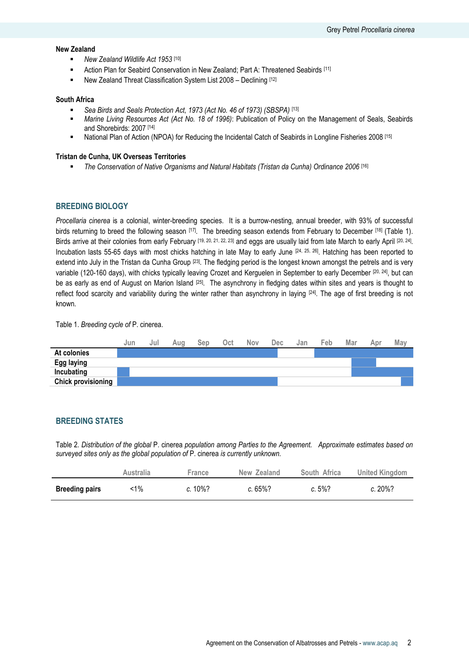## **New Zealand**

- **New Zealand Wildlife Act 1953** [10]
- Action Plan for Seabird Conservation in New Zealand; Part A: Threatened Seabirds [11]
- New Zealand Threat Classification System List 2008 Declining [12]

#### **South Africa**

- *Sea Birds and Seals Protection Act, 1973 (Act No. 46 of 1973) (SBSPA)* [13]
- *Marine Living Resources Act (Act No. 18 of 1996)*: Publication of Policy on the Management of Seals, Seabirds and Shorebirds: 2007 [14]
- National Plan of Action (NPOA) for Reducing the Incidental Catch of Seabirds in Longline Fisheries 2008 [15]

#### **Tristan de Cunha, UK Overseas Territories**

*The Conservation of Native Organisms and Natural Habitats (Tristan da Cunha) Ordinance 2006* [16]

## **BREEDING BIOLOGY**

*Procellaria cinerea* is a colonial, winter-breeding species. It is a burrow-nesting, annual breeder, with 93% of successful birds returning to breed the following season [17]. The breeding season extends from February to December [18] (Table 1). Birds arrive at their colonies from early February <sup>[19, 20, 21, 22, 23]</sup> and eggs are usually laid from late March to early April <sup>[20, 24]</sup>. Incubation lasts 55-65 days with most chicks hatching in late May to early June <sup>[24, 25, 26]</sup>. Hatching has been reported to extend into July in the Tristan da Cunha Group  $^{[23]}$ . The fledging period is the longest known amongst the petrels and is very variable (120-160 days), with chicks typically leaving Crozet and Kerguelen in September to early December <sup>[20, 24]</sup>, but can be as early as end of August on Marion Island <sup>[25]</sup>. The asynchrony in fledging dates within sites and years is thought to reflect food scarcity and variability during the winter rather than asynchrony in laying [24] . The age of first breeding is not known.

Table 1. *Breeding cycle of* P. cinerea.

|                           | Jun | Jul | Aug | Sep | Oct | <b>Nov</b> | Dec | Jan | Feb | Mar | Apr | Mav |
|---------------------------|-----|-----|-----|-----|-----|------------|-----|-----|-----|-----|-----|-----|
| At colonies               |     |     |     |     |     |            |     |     |     |     |     |     |
| <b>Egg laying</b>         |     |     |     |     |     |            |     |     |     |     |     |     |
| Incubating                |     |     |     |     |     |            |     |     |     |     |     |     |
| <b>Chick provisioning</b> |     |     |     |     |     |            |     |     |     |     |     |     |
|                           |     |     |     |     |     |            |     |     |     |     |     |     |

## **BREEDING STATES**

Table 2. *Distribution of the global* P. cinerea *population among Parties to the Agreement. Approximate estimates based on surveyed sites only as the global population of* P. cinerea *is currently unknown.*

|                       | Australia | France  | New Zealand | South Africa | United Kingdom |
|-----------------------|-----------|---------|-------------|--------------|----------------|
| <b>Breeding pairs</b> | <1%       | c. 10%? | $c.65\%$ ?  | $c.5\%$ ?    | $c.20\%$ ?     |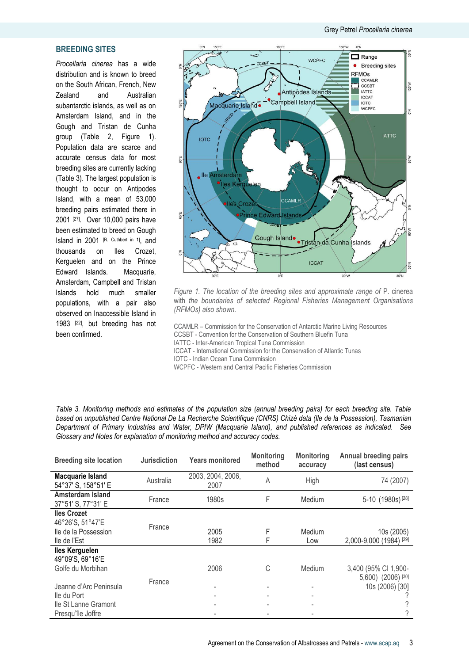## **BREEDING SITES**

*Procellaria cinerea* has a wide distribution and is known to breed on the South African, French, New Zealand and Australian subantarctic islands, as well as on Amsterdam Island, and in the Gough and Tristan de Cunha group (Table 2, Figure 1). Population data are scarce and accurate census data for most breeding sites are currently lacking (Table 3). The largest population is thought to occur on Antipodes Island, with a mean of 53,000 breeding pairs estimated there in 2001 [27]. Over 10,000 pairs have been estimated to breed on Gough Island in 2001 [R. Cuthbert in 1] , and thousands on Iles Crozet, Kerguelen and on the Prince Edward Islands. Macquarie, Amsterdam, Campbell and Tristan Islands hold much smaller populations, with a pair also observed on Inaccessible Island in 1983 [22], but breeding has not been confirmed.



*Figure 1. The location of the breeding sites and approximate range of* P. cinerea with *the boundaries of selected Regional Fisheries Management Organisations (RFMOs) also shown.* 

CCAMLR – Commission for the Conservation of Antarctic Marine Living Resources CCSBT - Convention for the Conservation of Southern Bluefin Tuna IATTC - Inter-American Tropical Tuna Commission ICCAT - International Commission for the Conservation of Atlantic Tunas

IOTC - Indian Ocean Tuna Commission

WCPFC - Western and Central Pacific Fisheries Commission

| Table 3. Monitoring methods and estimates of the population size (annual breeding pairs) for each breeding site. Table |  |
|------------------------------------------------------------------------------------------------------------------------|--|
| based on unpublished Centre National De La Recherche Scientifique (CNRS) Chizé data (Ile de la Possession), Tasmanian  |  |
| Department of Primary Industries and Water, DPIW (Macquarie Island), and published references as indicated. See        |  |
| Glossary and Notes for explanation of monitoring method and accuracy codes.                                            |  |

| <b>Breeding site location</b>                                                      | <b>Jurisdiction</b> | <b>Years monitored</b>    | <b>Monitoring</b><br>method | <b>Monitoring</b><br>accuracy | <b>Annual breeding pairs</b><br>(last census) |
|------------------------------------------------------------------------------------|---------------------|---------------------------|-----------------------------|-------------------------------|-----------------------------------------------|
| Macquarie Island<br>54°37' S, 158°51' E                                            | Australia           | 2003, 2004, 2006,<br>2007 | A                           | High                          | 74 (2007)                                     |
| Amsterdam Island<br>37°51' S, 77°31' E                                             | France              | 1980s                     | F                           | Medium                        | 5-10 (1980s) <sup>[28]</sup>                  |
| <b>Iles Crozet</b><br>46°26'S, 51°47'E<br>lle de la Possession<br>lle de l'Est     | France              | 2005<br>1982              | F<br>F                      | Medium<br>Low                 | 10s (2005)<br>2,000-9,000 (1984) [29]         |
| <b>Iles Kerguelen</b><br>49°09'S, 69°16'E<br>Golfe du Morbihan                     |                     | 2006                      | C                           | Medium                        | 3,400 (95% CI 1,900-                          |
| Jeanne d'Arc Peninsula<br>lle du Port<br>lle St Lanne Gramont<br>Presqu'île Joffre | France              |                           |                             |                               | 5,600) (2006) [30]<br>10s (2006) [30]         |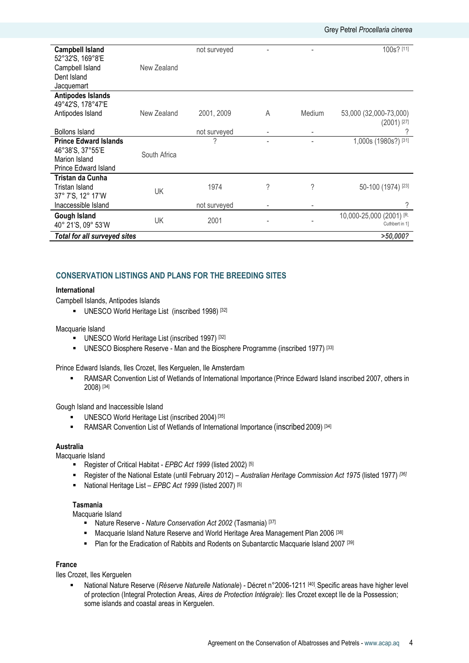| <b>Campbell Island</b>              |              | not surveyed |   |        | 100s? [11]               |
|-------------------------------------|--------------|--------------|---|--------|--------------------------|
| 52°32'S, 169°8'E                    |              |              |   |        |                          |
| Campbell Island                     | New Zealand  |              |   |        |                          |
| Dent Island                         |              |              |   |        |                          |
| Jacquemart                          |              |              |   |        |                          |
| Antipodes Islands                   |              |              |   |        |                          |
| 49°42'S, 178°47'E                   |              |              |   |        |                          |
| Antipodes Island                    | New Zealand  | 2001, 2009   | A | Medium | 53,000 (32,000-73,000)   |
|                                     |              |              |   |        | $(2001)$ <sup>[27]</sup> |
| <b>Bollons Island</b>               |              | not surveyed | ٠ |        | ?                        |
| <b>Prince Edward Islands</b>        |              | ?            |   |        | 1,000s (1980s?) [31]     |
| 46°38'S, 37°55'E                    |              |              |   |        |                          |
| Marion Island                       | South Africa |              |   |        |                          |
| <b>Prince Edward Island</b>         |              |              |   |        |                          |
| Tristan da Cunha                    |              |              |   |        |                          |
| Tristan Island                      | UK           | 1974         | ? | ?      | 50-100 (1974) [23]       |
| 37° 7'S, 12° 17'W                   |              |              |   |        |                          |
| Inaccessible Island                 |              | not surveyed |   |        | ?                        |
| Gough Island                        |              |              |   |        | 10,000-25,000 (2001) [R. |
| 40° 21'S, 09° 53'W                  | UK           | 2001         |   |        | Cuthbert in 1]           |
| <b>Total for all surveyed sites</b> |              |              |   |        | >50,000?                 |

## **CONSERVATION LISTINGS AND PLANS FOR THE BREEDING SITES**

## **International**

Campbell Islands, Antipodes Islands

**UNESCO World Heritage List (inscribed 1998)** [32]

#### Macquarie Island

- UNESCO World Heritage List (inscribed 1997) [32]
- UNESCO Biosphere Reserve Man and the Biosphere Programme (inscribed 1977) [33]

Prince Edward Islands, Iles Crozet, Iles Kerguelen, Ile Amsterdam

 RAMSAR Convention List of Wetlands of International Importance (Prince Edward Island inscribed 2007, others in 2008) [34]

Gough Island and Inaccessible Island

- UNESCO World Heritage List (inscribed 2004) [35]
- RAMSAR Convention List of Wetlands of International Importance (inscribed 2009)<sup>[34]</sup>

## **Australia**

Macquarie Island

- Register of Critical Habitat *EPBC Act 1999* (listed 2002) [5]
- Register of the National Estate (until February 2012) *Australian Heritage Commission Act 1975* (listed 1977) *[36]*
- National Heritage List *EPBC Act 1999* (listed 2007) [5]

#### **Tasmania**

Macquarie Island

- Nature Reserve *Nature Conservation Act 2002* (Tasmania) [37]
- **Macquarie Island Nature Reserve and World Heritage Area Management Plan 2006** [38]
- Plan for the Eradication of Rabbits and Rodents on Subantarctic Macquarie Island 2007<sup>[39]</sup>

## **France**

Iles Crozet, Iles Kerguelen

■ National Nature Reserve (*Réserve Naturelle Nationale*) - Décret n°2006-1211<sup>[40]</sup> Specific areas have higher level of protection (Integral Protection Areas, *Aires de Protection Intégrale*): Iles Crozet except Ile de la Possession; some islands and coastal areas in Kerguelen.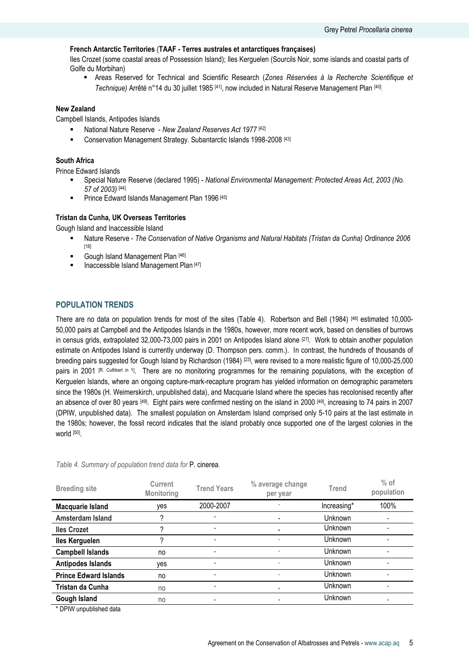## **French Antarctic Territories** (**TAAF - Terres australes et antarctiques françaises)**

Iles Crozet (some coastal areas of Possession Island); Iles Kerguelen (Sourcils Noir, some islands and coastal parts of Golfe du Morbihan)

 Areas Reserved for Technical and Scientific Research (*Zones Réservées à la Recherche Scientifique et*  Technique) Arrêté n°14 du 30 juillet 1985 <sup>[41]</sup>, now included in Natural Reserve Management Plan <sup>[40]</sup>.

## **New Zealand**

Campbell Islands, Antipodes Islands

- National Nature Reserve *New Zealand Reserves Act 1977* [42]
- **EXECONSERVATION Management Strategy. Subantarctic Islands 1998-2008 [43]**

#### **South Africa**

Prince Edward Islands

- Special Nature Reserve (declared 1995) *National Environmental Management: Protected Areas Act, 2003 (No. 57 of 2003)* [44]
- **Prince Edward Islands Management Plan 1996** [45]

#### **Tristan da Cunha, UK Overseas Territories**

Gough Island and Inaccessible Island

- Nature Reserve *The Conservation of Native Organisms and Natural Habitats (Tristan da Cunha) Ordinance 2006* [16]
- Gough Island Management Plan [46]
- Inaccessible Island Management Plan [47]

## **POPULATION TRENDS**

There are no data on population trends for most of the sites (Table 4). Robertson and Bell (1984) [48] estimated 10,000- 50,000 pairs at Campbell and the Antipodes Islands in the 1980s, however, more recent work, based on densities of burrows in census grids, extrapolated 32,000-73,000 pairs in 2001 on Antipodes Island alone [27] . Work to obtain another population estimate on Antipodes Island is currently underway (D. Thompson pers. comm.). In contrast, the hundreds of thousands of breeding pairs suggested for Gough Island by Richardson (1984) [23] , were revised to a more realistic figure of 10,000-25,000 pairs in 2001 <sup>[R. Cuthbert in 1]</sup>. There are no monitoring programmes for the remaining populations, with the exception of Kerguelen Islands, where an ongoing capture-mark-recapture program has yielded information on demographic parameters since the 1980s (H. Weimerskirch, unpublished data), and Macquarie Island where the species has recolonised recently after an absence of over 80 years <sup>[49]</sup>. Eight pairs were confirmed nesting on the island in 2000 <sup>[49]</sup>, increasing to 74 pairs in 2007 (DPIW, unpublished data). The smallest population on Amsterdam Island comprised only 5-10 pairs at the last estimate in the 1980s; however, the fossil record indicates that the island probably once supported one of the largest colonies in the world [50] .

| <b>Breeding site</b>         | Current<br><b>Monitoring</b> | <b>Trend Years</b> | % average change<br>per year | Trend       | $%$ of<br>population     |
|------------------------------|------------------------------|--------------------|------------------------------|-------------|--------------------------|
| <b>Macquarie Island</b>      | yes                          | 2000-2007          |                              | Increasing* | 100%                     |
| Amsterdam Island             | 2                            |                    | $\blacksquare$               | Unknown     | $\overline{\phantom{0}}$ |
| <b>Iles Crozet</b>           | っ                            | -                  |                              | Unknown     |                          |
| <b>Iles Kerguelen</b>        | 2                            |                    |                              | Unknown     |                          |
| <b>Campbell Islands</b>      | no                           |                    |                              | Unknown     |                          |
| <b>Antipodes Islands</b>     | yes                          | ۰                  | $\overline{\phantom{a}}$     | Unknown     | $\overline{\phantom{a}}$ |
| <b>Prince Edward Islands</b> | no                           |                    |                              | Unknown     |                          |
| Tristan da Cunha             | no                           |                    |                              | Unknown     |                          |
| <b>Gough Island</b>          | no                           |                    |                              | Unknown     |                          |
| $*$ DDIM unnubliabed data    |                              |                    |                              |             |                          |

#### *Table 4. Summary of population trend data for* P. cinerea*.*

DPIW unpublished data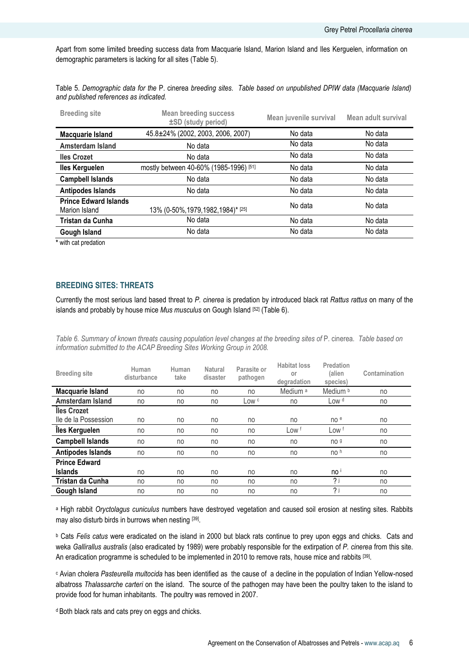Apart from some limited breeding success data from Macquarie Island, Marion Island and Iles Kerguelen, information on demographic parameters is lacking for all sites (Table 5).

| Table 5. Demographic data for the P. cinerea breeding sites. Table based on unpublished DPIW data (Macquarie Island) |  |
|----------------------------------------------------------------------------------------------------------------------|--|
| and published references as indicated.                                                                               |  |

| <b>Breeding site</b>                          | <b>Mean breeding success</b><br>±SD (study period) | Mean juvenile survival | Mean adult survival |
|-----------------------------------------------|----------------------------------------------------|------------------------|---------------------|
| Macquarie Island                              | 45.8±24% (2002, 2003, 2006, 2007)                  | No data                | No data             |
| Amsterdam Island                              | No data                                            | No data                | No data             |
| <b>Iles Crozet</b>                            | No data                                            | No data                | No data             |
| <b>Iles Kerguelen</b>                         | mostly between 40-60% (1985-1996) [51]             | No data                | No data             |
| <b>Campbell Islands</b>                       | No data                                            | No data                | No data             |
| <b>Antipodes Islands</b>                      | No data                                            | No data                | No data             |
| <b>Prince Edward Islands</b><br>Marion Island | 13% (0-50%, 1979, 1982, 1984)* [25]                | No data                | No data             |
| Tristan da Cunha                              | No data                                            | No data                | No data             |
| Gough Island                                  | No data                                            | No data                | No data             |

**\*** with cat predation

## **BREEDING SITES: THREATS**

Currently the most serious land based threat to *P. cinerea* is predation by introduced black rat *Rattus rattus* on many of the islands and probably by house mice *Mus musculus* on Gough Island [52] (Table 6).

*Table 6. Summary of known threats causing population level changes at the breeding sites of* P. cinerea*. Table based on information submitted to the ACAP Breeding Sites Working Group in 2008.*

| <b>Breeding site</b>     | Human<br>disturbance | Human<br>take | Natural<br>disaster | Parasite or<br>pathogen | <b>Habitat loss</b><br>or<br>degradation | Predation<br>(alien<br>species) | Contamination |
|--------------------------|----------------------|---------------|---------------------|-------------------------|------------------------------------------|---------------------------------|---------------|
| Macquarie Island         | no                   | no            | no                  | no                      | Medium <sup>a</sup>                      | Medium <sup>b</sup>             | no            |
| Amsterdam Island         | no                   | no            | no                  | Low c                   | no                                       | Low d                           | no            |
| lles Crozet              |                      |               |                     |                         |                                          |                                 |               |
| lle de la Possession     | no                   | no            | no                  | no                      | no                                       | no e                            | no            |
| <b>Iles Kerguelen</b>    | no                   | no            | no                  | no                      | Low <sup>f</sup>                         | Low <sup>f</sup>                | no            |
| <b>Campbell Islands</b>  | no                   | no            | no                  | no                      | no                                       | no <sub>9</sub>                 | no            |
| <b>Antipodes Islands</b> | no                   | no            | no                  | no                      | no                                       | no h                            | no            |
| <b>Prince Edward</b>     |                      |               |                     |                         |                                          |                                 |               |
| <b>Islands</b>           | no                   | no            | no                  | no                      | no                                       | no '                            | no            |
| Tristan da Cunha         | no                   | no            | no                  | no                      | no                                       | 2j                              | no            |
| <b>Gough Island</b>      | no                   | no            | no                  | no                      | no                                       | 2j                              | no            |

<sup>a</sup> High rabbit *Oryctolagus cuniculus* numbers have destroyed vegetation and caused soil erosion at nesting sites. Rabbits may also disturb birds in burrows when nesting [39].

<sup>b</sup> Cats *Felis catus* were eradicated on the island in 2000 but black rats continue to prey upon eggs and chicks. Cats and weka *Gallirallus australis* (also eradicated by 1989) were probably responsible for the extirpation of *P. cinerea* from this site. An eradication programme is scheduled to be implemented in 2010 to remove rats, house mice and rabbits [39].

<sup>c</sup> Avian cholera *Pasteurella multocida* has been identified as the cause of a decline in the population of Indian Yellow-nosed albatross *Thalassarche carteri* on the island. The source of the pathogen may have been the poultry taken to the island to provide food for human inhabitants. The poultry was removed in 2007.

<sup>d</sup> Both black rats and cats prey on eggs and chicks.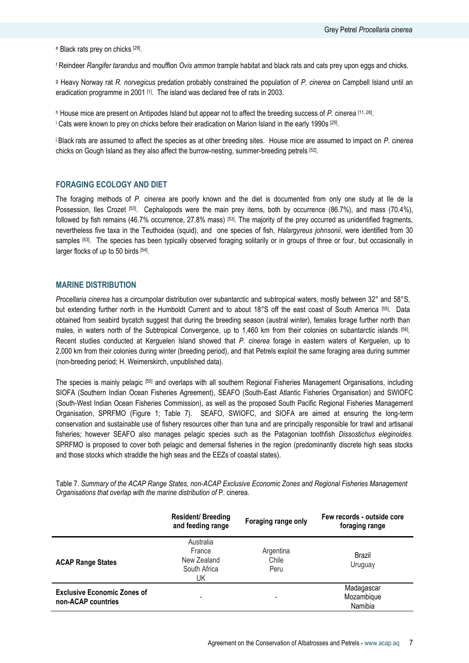<sup>e</sup> Black rats prey on chicks <sup>[29]</sup>.

<sup>f</sup> Reindeer *Rangifer tarandus* and moufflon *Ovis ammon* trample habitat and black rats and cats prey upon eggs and chicks.

<sup>g</sup> Heavy Norway rat *R. norvegicus* predation probably constrained the population of *P. cinerea* on Campbell Island until an eradication programme in 2001<sup>[1]</sup>. The island was declared free of rats in 2003.

<sup>h</sup> House mice are present on Antipodes Island but appear not to affect the breeding success of *P. cinerea* [11, 26] .  $^{\text{i}}$  Cats were known to prey on chicks before their eradication on Marion Island in the early 1990s  $^{[25]}$ .

chicks on Gough Island as they also affect the burrow-nesting, summer-breeding petrels [52].

<sup>j</sup>Black rats are assumed to affect the species as at other breeding sites. House mice are assumed to impact on *P. cinerea*

## **FORAGING ECOLOGY AND DIET**

The foraging methods of *P. cinerea* are poorly known and the diet is documented from only one study at Ile de la Possession, Iles Crozet <sup>[53]</sup>. Cephalopods were the main prey items, both by occurrence (86.7%), and mass (70.4%), followed by fish remains (46.7% occurrence, 27.8% mass) [53]. The majority of the prey occurred as unidentified fragments, nevertheless five taxa in the Teuthoidea (squid), and one species of fish, *Halargyreus johnsonii*, were identified from 30 samples <sup>[53]</sup>. The species has been typically observed foraging solitarily or in groups of three or four, but occasionally in larger flocks of up to 50 birds [54].

#### **MARINE DISTRIBUTION**

*Procellaria cinerea* has a circumpolar distribution over subantarctic and subtropical waters, mostly between 32° and 58°S, but extending further north in the Humboldt Current and to about 18°S off the east coast of South America [55] . Data obtained from seabird bycatch suggest that during the breeding season (austral winter), females forage further north than males, in waters north of the Subtropical Convergence, up to 1,460 km from their colonies on subantarctic islands [56] . Recent studies conducted at Kerguelen Island showed that *P. cinerea* forage in eastern waters of Kerguelen, up to 2,000 km from their colonies during winter (breeding period), and that Petrels exploit the same foraging area during summer (non-breeding period; H. Weimerskirch, unpublished data).

The species is mainly pelagic [55] and overlaps with all southern Regional Fisheries Management Organisations, including SIOFA (Southern Indian Ocean Fisheries Agreement), SEAFO (South-East Atlantic Fisheries Organisation) and SWIOFC (South-West Indian Ocean Fisheries Commission), as well as the proposed South Pacific Regional Fisheries Management Organisation, SPRFMO (Figure 1; Table 7). SEAFO, SWIOFC, and SIOFA are aimed at ensuring the long-term conservation and sustainable use of fishery resources other than tuna and are principally responsible for trawl and artisanal fisheries; however SEAFO also manages pelagic species such as the Patagonian toothfish *Dissostichus eleginoides*. SPRFMO is proposed to cover both pelagic and demersal fisheries in the region (predominantly discrete high seas stocks and those stocks which straddle the high seas and the EEZs of coastal states).

Table 7. *Summary of the ACAP Range States, non-ACAP Exclusive Economic Zones and Regional Fisheries Management Organisations that overlap with the marine distribution of* P. cinerea*.*

|                                                          | <b>Resident/ Breeding</b><br>and feeding range           | Foraging range only        | Few records - outside core<br>foraging range |
|----------------------------------------------------------|----------------------------------------------------------|----------------------------|----------------------------------------------|
| <b>ACAP Range States</b>                                 | Australia<br>France<br>New Zealand<br>South Africa<br>UK | Argentina<br>Chile<br>Peru | Brazil<br>Uruguay                            |
| <b>Exclusive Economic Zones of</b><br>non-ACAP countries |                                                          | -                          | Madagascar<br>Mozambique<br>Namibia          |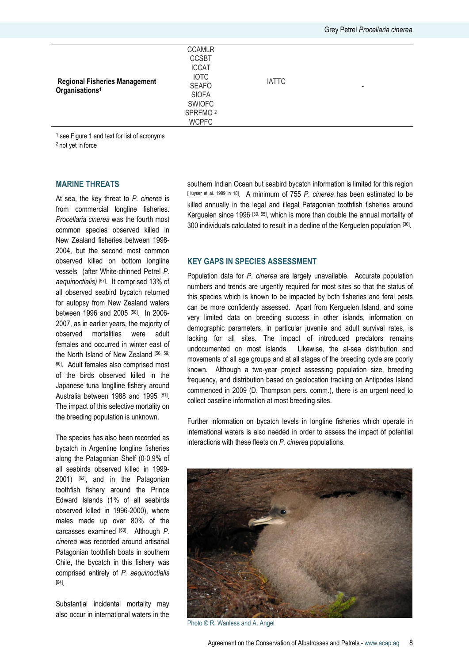| <b>Regional Fisheries Management</b><br>Organisations <sup>1</sup> | <b>CCAMLR</b><br><b>CCSBT</b><br><b>ICCAT</b><br><b>IOTC</b><br><b>SEAFO</b><br><b>SIOFA</b><br><b>SWIOFC</b><br>SPRFMO <sup>2</sup><br><b>WCPFC</b> | <b>IATTC</b> | $\,$ |  |
|--------------------------------------------------------------------|------------------------------------------------------------------------------------------------------------------------------------------------------|--------------|------|--|

<sup>1</sup> see Figure 1 and text for list of acronyms

<sup>2</sup> not yet in force

## **MARINE THREATS**

At sea, the key threat to *P. cinerea* is from commercial longline fisheries. *Procellaria cinerea* was the fourth most common species observed killed in New Zealand fisheries between 1998- 2004, but the second most common observed killed on bottom longline vessels (after White-chinned Petrel *P. aequinoctialis)* [57]. It comprised 13% of all observed seabird bycatch returned for autopsy from New Zealand waters between 1996 and 2005 [58]. In 2006-2007, as in earlier years, the majority of observed mortalities were adult females and occurred in winter east of the North Island of New Zealand [56, 59, <sup>60]</sup>. Adult females also comprised most of the birds observed killed in the Japanese tuna longlline fishery around Australia between 1988 and 1995 [61]. The impact of this selective mortality on the breeding population is unknown.

The species has also been recorded as bycatch in Argentine longline fisheries along the Patagonian Shelf (0-0.9% of all seabirds observed killed in 1999- 2001) <sup>[62]</sup>, and in the Patagonian toothfish fishery around the Prince Edward Islands (1% of all seabirds observed killed in 1996-2000), where males made up over 80% of the carcasses examined [63] . Although *P. cinerea* was recorded around artisanal Patagonian toothfish boats in southern Chile, the bycatch in this fishery was comprised entirely of *P. aequinoctialis*  [64] .

Substantial incidental mortality may also occur in international waters in the southern Indian Ocean but seabird bycatch information is limited for this region [Huyser et al. 1999 in 18] . A minimum of 755 *P. cinerea* has been estimated to be killed annually in the legal and illegal Patagonian toothfish fisheries around Kerguelen since 1996<sup>[30, 65]</sup>, which is more than double the annual mortality of 300 individuals calculated to result in a decline of the Kerguelen population [30] .

## **KEY GAPS IN SPECIES ASSESSMENT**

Population data for *P. cinerea* are largely unavailable. Accurate population numbers and trends are urgently required for most sites so that the status of this species which is known to be impacted by both fisheries and feral pests can be more confidently assessed. Apart from Kerguelen Island, and some very limited data on breeding success in other islands, information on demographic parameters, in particular juvenile and adult survival rates, is lacking for all sites. The impact of introduced predators remains undocumented on most islands. Likewise, the at-sea distribution and movements of all age groups and at all stages of the breeding cycle are poorly known. Although a two-year project assessing population size, breeding frequency, and distribution based on geolocation tracking on Antipodes Island commenced in 2009 (D. Thompson pers. comm.), there is an urgent need to collect baseline information at most breeding sites.

Further information on bycatch levels in longline fisheries which operate in international waters is also needed in order to assess the impact of potential interactions with these fleets on *P. cinerea* populations.



Photo © R. Wanless and A. Angel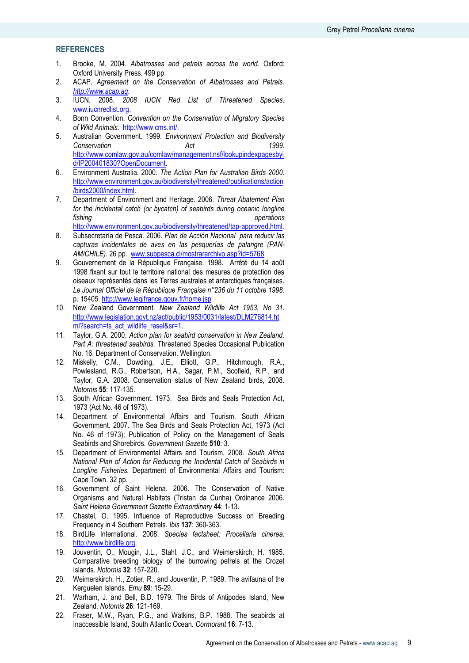## **REFERENCES**

- 1. Brooke, M. 2004. *Albatrosses and petrels across the world*. Oxford: Oxford University Press. 499 pp.
- 2. ACAP. *Agreement on the Conservation of Albatrosses and Petrels. [http://www.acap.aq](http://www.acap.aq/)*.
- 3. IUCN. 2008. *2008 IUCN Red List of Threatened Species*. [www.iucnredlist.org.](http://www.iucnredlist.org/)
- 4. Bonn Convention. *Convention on the Conservation of Migratory Species of Wild Animals*. [http://www.cms.int/.](http://www.cms.int/)
- 5. Australian Government. 1999. *Environment Protection and Biodiversity Conservation Act 1999*. [http://www.comlaw.gov.au/comlaw/management.nsf/lookupindexpagesbyi](http://www.comlaw.gov.au/comlaw/management.nsf/lookupindexpagesbyid/IP200401830?OpenDocument) [d/IP200401830?OpenDocument.](http://www.comlaw.gov.au/comlaw/management.nsf/lookupindexpagesbyid/IP200401830?OpenDocument)
- 6. Environment Australia. 2000. *The Action Plan for Australian Birds 2000*. [http://www.environment.gov.au/biodiversity/threatened/publications/action](http://www.environment.gov.au/biodiversity/threatened/publications/action/birds2000/index.html) [/birds2000/index.html.](http://www.environment.gov.au/biodiversity/threatened/publications/action/birds2000/index.html)
- 7. Department of Environment and Heritage. 2006. *Threat Abatement Plan for the incidental catch (or bycatch) of seabirds during oceanic longline fishing operations*
- [http://www.environment.gov.au/biodiversity/threatened/tap-approved.html.](http://www.environment.gov.au/biodiversity/threatened/tap-approved.html) 8. Subsecretaría de Pesca. 2006. *Plan de Acción Nacional para reducir las capturas incidentales de aves en las pesquerías de palangre (PAN-*
- *AM/CHILE).* 26 pp. [www.subpesca.cl/mostrararchivo.asp?id=5768](http://www.subpesca.cl/mostrararchivo.asp?id=5768) 9. Gouvernement de la République Française. 1998. Arrêté du 14 août 1998 fixant sur tout le territoire national des mesures de protection des oiseaux représentés dans les Terres australes et antarctiques françaises*. Le Journal Officiel de la République Française n°236 du 11 octobre 1998.*  p. 15405<http://www.legifrance.gouv.fr/home.jsp>
- 10. New Zealand Government. *New Zealand Wildlife Act 1953, No 31*. [http://www.legislation.govt.nz/act/public/1953/0031/latest/DLM276814.ht](http://www.legislation.govt.nz/act/public/1953/0031/latest/DLM276814.html?search=ts_act_wildlife_resel&sr=1) [ml?search=ts\\_act\\_wildlife\\_resel&sr=1.](http://www.legislation.govt.nz/act/public/1953/0031/latest/DLM276814.html?search=ts_act_wildlife_resel&sr=1)
- 11. Taylor, G.A. 2000. *Action plan for seabird conservation in New Zealand. Part A: threatened seabirds.* Threatened Species Occasional Publication No. 16. Department of Conservation. Wellington.
- 12. Miskelly, C.M., Dowding, J.E., Elliott, G.P., Hitchmough, R.A., Powlesland, R.G., Robertson, H.A., Sagar, P.M., Scofield, R.P., and Taylor, G.A. 2008. Conservation status of New Zealand birds, 2008*. Notornis* **55**: 117-135.
- 13. South African Government. 1973. Sea Birds and Seals Protection Act, 1973 (Act No. 46 of 1973)*.*
- 14. Department of Environmental Affairs and Tourism. South African Government. 2007. The Sea Birds and Seals Protection Act, 1973 (Act No. 46 of 1973); Publication of Policy on the Management of Seals Seabirds and Shorebirds*. Government Gazette* **510**: 3.
- 15. Department of Environmental Affairs and Tourism. 2008. *South Africa National Plan of Action for Reducing the Incidental Catch of Seabirds in Longline Fisheries.* Department of Environmental Affairs and Tourism: Cape Town. 32 pp.
- 16. Government of Saint Helena. 2006. The Conservation of Native Organisms and Natural Habitats (Tristan da Cunha) Ordinance 2006*. Saint Helena Government Gazette Extraordinary* **44**: 1-13.
- 17. Chastel, O. 1995. Influence of Reproductive Success on Breeding Frequency in 4 Southern Petrels*. Ibis* **137**: 360-363.
- 18. BirdLife International. 2008. *Species factsheet: Procellaria cinerea*. [http://www.birdlife.org.](http://www.birdlife.org/)
- 19. Jouventin, O., Mougin, J.L., Stahl, J.C., and Weimerskirch, H. 1985. Comparative breeding biology of the burrowing petrels at the Crozet Islands*. Notornis* **32**: 157-220.
- 20. Weimerskirch, H., Zotier, R., and Jouventin, P. 1989. The avifauna of the Kerguelen Islands*. Emu* **89**: 15-29.
- 21. Warham, J. and Bell, B.D. 1979. The Birds of Antipodes Island, New Zealand*. Notornis* **26**: 121-169.
- 22. Fraser, M.W., Ryan, P.G., and Watkins, B.P. 1988. The seabirds at Inaccessible Island, South Atlantic Ocean*. Cormorant* **16**: 7-13.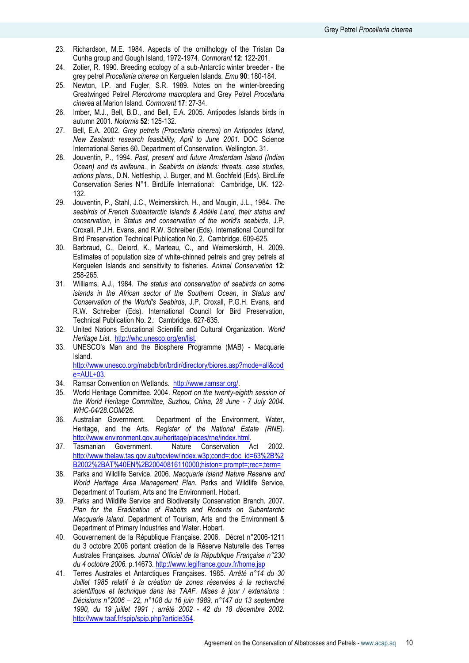- 23. Richardson, M.E. 1984. Aspects of the ornithology of the Tristan Da Cunha group and Gough Island, 1972-1974*. Cormorant* **12**: 122-201.
- 24. Zotier, R. 1990. Breeding ecology of a sub-Antarctic winter breeder the grey petrel *Procellaria cinerea* on Kerguelen Islands*. Emu* **90**: 180-184.
- 25. Newton, I.P. and Fugler, S.R. 1989. Notes on the winter-breeding Greatwinged Petrel *Pterodroma macroptera* and Grey Petrel *Procellaria cinerea* at Marion Island*. Cormorant* **17**: 27-34.
- 26. Imber, M.J., Bell, B.D., and Bell, E.A. 2005. Antipodes Islands birds in autumn 2001*. Notornis* **52**: 125-132.
- 27. Bell, E.A. 2002. *Grey petrels (Procellaria cinerea) on Antipodes Island, New Zealand: research feasibility, April to June 2001.* DOC Science International Series 60. Department of Conservation. Wellington. 31.
- 28. Jouventin, P., 1994. *Past, present and future Amsterdam Island (Indian Ocean) and its avifauna.*, in *Seabirds on islands: threats, case studies, actions plans.*, D.N. Nettleship, J. Burger, and M. Gochfeld (Eds). BirdLife Conservation Series N°1. BirdLife International: Cambridge, UK. 122- 132.
- 29. Jouventin, P., Stahl, J.C., Weimerskirch, H., and Mougin, J.L., 1984. *The seabirds of French Subantarctic Islands & Adélie Land, their status and conservation*, in *Status and conservation of the world's seabirds*, J.P. Croxall, P.J.H. Evans, and R.W. Schreiber (Eds). International Council for Bird Preservation Technical Publication No. 2. Cambridge. 609-625.
- 30. Barbraud, C., Delord, K., Marteau, C., and Weimerskirch, H. 2009. Estimates of population size of white-chinned petrels and grey petrels at Kerguelen Islands and sensitivity to fisheries*. Animal Conservation* **12**: 258-265.
- 31. Williams, A.J., 1984. *The status and conservation of seabirds on some islands in the African sector of the Southern Ocean*, in *Status and Conservation of the World's Seabirds*, J.P. Croxall, P.G.H. Evans, and R.W. Schreiber (Eds). International Council for Bird Preservation, Technical Publication No. 2.: Cambridge. 627-635.
- 32. United Nations Educational Scientific and Cultural Organization. *World Heritage List*. [http://whc.unesco.org/en/list.](http://whc.unesco.org/en/list)
- 33. UNESCO's Man and the Biosphere Programme (MAB) Macquarie Island.

[http://www.unesco.org/mabdb/br/brdir/directory/biores.asp?mode=all&cod](http://www.unesco.org/mabdb/br/brdir/directory/biores.asp?mode=all&code=AUL+03) [e=AUL+03.](http://www.unesco.org/mabdb/br/brdir/directory/biores.asp?mode=all&code=AUL+03)

- 34. Ramsar Convention on Wetlands. [http://www.ramsar.org/.](http://www.ramsar.org/)
- 35. World Heritage Committee. 2004. *Report on the twenty-eighth session of the World Heritage Committee, Suzhou, China, 28 June - 7 July 2004. WHC-04/28.COM/26.*
- 36. Australian Government. Department of the Environment, Water, Heritage, and the Arts. *Register of the National Estate (RNE)*. [http://www.environment.gov.au/heritage/places/rne/index.html.](http://www.environment.gov.au/heritage/places/rne/index.html)
- 37. Tasmanian Government. Nature Conservation Act 2002*.*  [http://www.thelaw.tas.gov.au/tocview/index.w3p;cond=;doc\\_id=63%2B%2](http://www.thelaw.tas.gov.au/tocview/index.w3p;cond=;doc_id=63%2B%2B2002%2BAT%40EN%2B20040816110000;histon=;prompt=;rec=;term=) [B2002%2BAT%40EN%2B20040816110000;histon=;prompt=;rec=;term=](http://www.thelaw.tas.gov.au/tocview/index.w3p;cond=;doc_id=63%2B%2B2002%2BAT%40EN%2B20040816110000;histon=;prompt=;rec=;term=)
- 38. Parks and Wildlife Service. 2006. *Macquarie Island Nature Reserve and World Heritage Area Management Plan.* Parks and Wildlife Service, Department of Tourism, Arts and the Environment. Hobart.
- 39. Parks and Wildlife Service and Biodiversity Conservation Branch. 2007. *Plan for the Eradication of Rabbits and Rodents on Subantarctic Macquarie Island.* Department of Tourism, Arts and the Environment & Department of Primary Industries and Water. Hobart.
- 40. Gouvernement de la République Française. 2006. Décret n°2006-1211 du 3 octobre 2006 portant création de la Réserve Naturelle des Terres Australes Françaises*. Journal Officiel de la République Française n°230 du 4 octobre 2006.* p.14673*.* <http://www.legifrance.gouv.fr/home.jsp>
- 41. Terres Australes et Antarctiques Françaises. 1985. *Arrêté n°14 du 30 Juillet 1985 relatif à la création de zones réservées à la recherché scientifique et technique dans les TAAF. Mises à jour / extensions : Décisions n°2006 – 22, n°108 du 16 juin 1989, n°147 du 13 septembre 1990, du 19 juillet 1991 ; arrêté 2002 - 42 du 18 décembre 2002*. [http://www.taaf.fr/spip/spip.php?article354.](http://www.taaf.fr/spip/spip.php?article354)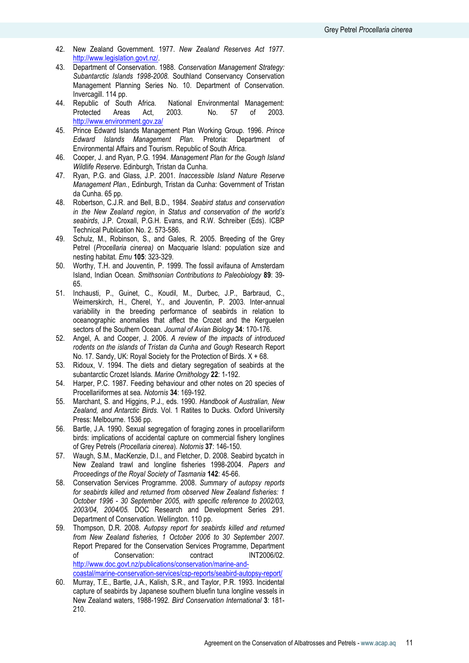- 42. New Zealand Government. 1977. *New Zealand Reserves Act 1977*. [http://www.legislation.govt.nz/.](http://www.legislation.govt.nz/)
- 43. Department of Conservation. 1988. *Conservation Management Strategy: Subantarctic Islands 1998-2008.* Southland Conservancy Conservation Management Planning Series No. 10. Department of Conservation. Invercagill. 114 pp.
- 44. Republic of South Africa. National Environmental Management: Protected Areas Act, 2003. No. 57 of 2003*.*  <http://www.environment.gov.za/>
- 45. Prince Edward Islands Management Plan Working Group. 1996. *Prince Edward Islands Management Plan.* Pretoria: Department of Environmental Affairs and Tourism. Republic of South Africa.
- 46. Cooper, J. and Ryan, P.G. 1994. *Management Plan for the Gough Island Wildlife Reserve.* Edinburgh, Tristan da Cunha.
- 47. Ryan, P.G. and Glass, J.P. 2001. *Inaccessible Island Nature Reserve Management Plan.*, Edinburgh, Tristan da Cunha: Government of Tristan da Cunha. 65 pp.
- 48. Robertson, C.J.R. and Bell, B.D., 1984. *Seabird status and conservation in the New Zealand region*, in *Status and conservation of the world's seabirds*, J.P. Croxall, P.G.H. Evans, and R.W. Schreiber (Eds). ICBP Technical Publication No. 2. 573-586.
- 49. Schulz, M., Robinson, S., and Gales, R. 2005. Breeding of the Grey Petrel (*Procellaria cinerea)* on Macquarie Island: population size and nesting habitat*. Emu* **105**: 323-329.
- 50. Worthy, T.H. and Jouventin, P. 1999. The fossil avifauna of Amsterdam Island, Indian Ocean*. Smithsonian Contributions to Paleobiology* **89**: 39- 65.
- 51. Inchausti, P., Guinet, C., Koudil, M., Durbec, J.P., Barbraud, C., Weimerskirch, H., Cherel, Y., and Jouventin, P. 2003. Inter-annual variability in the breeding performance of seabirds in relation to oceanographic anomalies that affect the Crozet and the Kerguelen sectors of the Southern Ocean*. Journal of Avian Biology* **34**: 170-176.
- 52. Angel, A. and Cooper, J. 2006. *A review of the impacts of introduced rodents on the islands of Tristan da Cunha and Gough* Research Report No. 17. Sandy, UK: Royal Society for the Protection of Birds. X + 68.
- 53. Ridoux, V. 1994. The diets and dietary segregation of seabirds at the subantarctic Crozet Islands*. Marine Ornithology* **22**: 1-192.
- 54. Harper, P.C. 1987. Feeding behaviour and other notes on 20 species of Procellariiformes at sea*. Notornis* **34**: 169-192.
- 55. Marchant, S. and Higgins, P.J., eds. 1990. *Handbook of Australian, New Zealand, and Antarctic Birds*. Vol. 1 Ratites to Ducks. Oxford University Press: Melbourne. 1536 pp.
- 56. Bartle, J.A. 1990. Sexual segregation of foraging zones in procellariiform birds: implications of accidental capture on commercial fishery longlines of Grey Petrels (*Procellaria cinerea*)*. Notornis* **37**: 146-150.
- 57. Waugh, S.M., MacKenzie, D.I., and Fletcher, D. 2008. Seabird bycatch in New Zealand trawl and longline fisheries 1998-2004. *Papers and Proceedings of the Royal Society of Tasmania* **142**: 45-66.
- 58. Conservation Services Programme. 2008. *Summary of autopsy reports for seabirds killed and returned from observed New Zealand fisheries: 1 October 1996 - 30 September 2005, with specific reference to 2002/03, 2003/04, 2004/05.* DOC Research and Development Series 291. Department of Conservation. Wellington. 110 pp.
- 59. Thompson, D.R. 2008. *Autopsy report for seabirds killed and returned from New Zealand fisheries, 1 October 2006 to 30 September 2007.* Report Prepared for the Conservation Services Programme, Department of Conservation: contract INT2006/02. [http://www.doc.govt.nz/publications/conservation/marine-and](http://www.doc.govt.nz/publications/conservation/marine-and-coastal/marine-conservation-services/csp-reports/seabird-autopsy-report/)[coastal/marine-conservation-services/csp-reports/seabird-autopsy-report/](http://www.doc.govt.nz/publications/conservation/marine-and-coastal/marine-conservation-services/csp-reports/seabird-autopsy-report/)
- 60. Murray, T.E., Bartle, J.A., Kalish, S.R., and Taylor, P.R. 1993. Incidental capture of seabirds by Japanese southern bluefin tuna longline vessels in New Zealand waters, 1988-1992*. Bird Conservation International* **3**: 181- 210.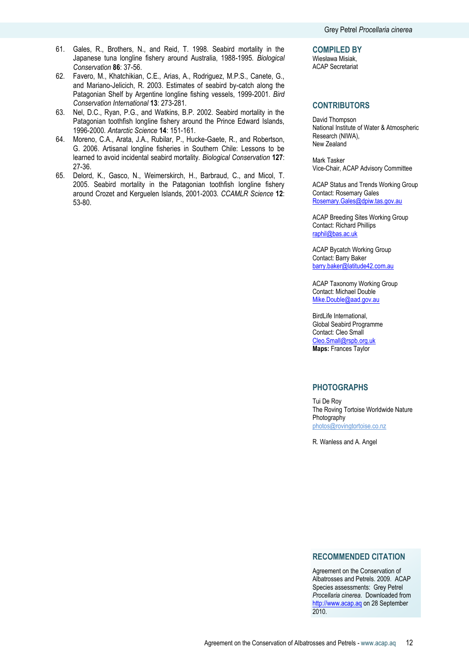- 61. Gales, R., Brothers, N., and Reid, T. 1998. Seabird mortality in the Japanese tuna longline fishery around Australia, 1988-1995*. Biological Conservation* **86**: 37-56.
- 62. Favero, M., Khatchikian, C.E., Arias, A., Rodriguez, M.P.S., Canete, G., and Mariano-Jelicich, R. 2003. Estimates of seabird by-catch along the Patagonian Shelf by Argentine longline fishing vessels, 1999-2001*. Bird Conservation International* **13**: 273-281.
- 63. Nel, D.C., Ryan, P.G., and Watkins, B.P. 2002. Seabird mortality in the Patagonian toothfish longline fishery around the Prince Edward Islands, 1996-2000*. Antarctic Science* **14**: 151-161.
- 64. Moreno, C.A., Arata, J.A., Rubilar, P., Hucke-Gaete, R., and Robertson, G. 2006. Artisanal longline fisheries in Southern Chile: Lessons to be learned to avoid incidental seabird mortality*. Biological Conservation* **127**: 27-36.
- 65. Delord, K., Gasco, N., Weimerskirch, H., Barbraud, C., and Micol, T. 2005. Seabird mortality in the Patagonian toothfish longline fishery around Crozet and Kerguelen Islands, 2001-2003*. CCAMLR Science* **12**: 53-80.

**COMPILED BY**

Wiesława Misiak, ACAP Secretariat

## **CONTRIBUTORS**

David Thompson National Institute of Water & Atmospheric Research (NIWA), New Zealand

Mark Tasker Vice-Chair, ACAP Advisory Committee

ACAP Status and Trends Working Group Contact: Rosemary Gales Rosemary.Gales@dpiw.tas.gov.au

ACAP Breeding Sites Working Group Contact: Richard Phillips raphil@bas.ac.uk

ACAP Bycatch Working Group Contact: Barry Baker barry.baker@latitude42.com.au

ACAP Taxonomy Working Group Contact: Michael Double Mike.Double@aad.gov.au

BirdLife International, Global Seabird Programme Contact: Cleo Small Cleo.Small@rspb.org.uk **Maps:** Frances Taylor

## **PHOTOGRAPHS**

Tui De Roy The Roving Tortoise Worldwide Nature Photography [photos@rovingtortoise.co.nz](mailto:photos@rovingtortoise.co.nz)

R. Wanless and A. Angel

## **RECOMMENDED CITATION**

Agreement on the Conservation of Albatrosses and Petrels. 2009. ACAP Species assessments: Grey Petrel *Procellaria cinerea*. Downloaded from http://www.acap.aq on 28 September 2010.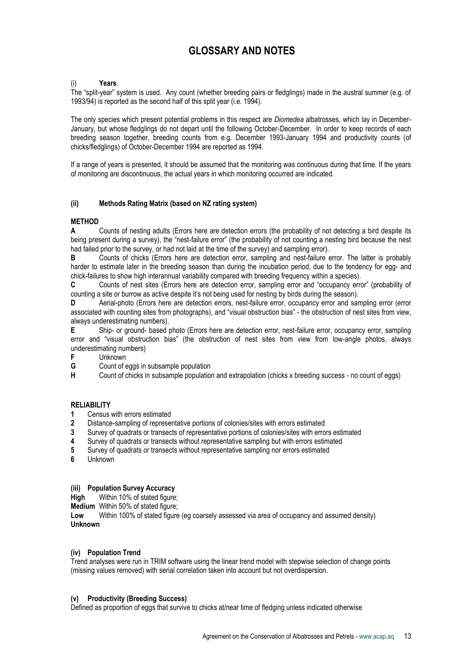# **GLOSSARY AND NOTES**

## (i) **Years**.

The "split-year" system is used. Any count (whether breeding pairs or fledglings) made in the austral summer (e.g. of 1993/94) is reported as the second half of this split year (i.e. 1994).

The only species which present potential problems in this respect are *Diomedea* albatrosses, which lay in December-January, but whose fledglings do not depart until the following October-December. In order to keep records of each breeding season together, breeding counts from e.g. December 1993-January 1994 and productivity counts (of chicks/fledglings) of October-December 1994 are reported as 1994.

If a range of years is presented, it should be assumed that the monitoring was continuous during that time. If the years of monitoring are discontinuous, the actual years in which monitoring occurred are indicated.

## **(ii) Methods Rating Matrix (based on NZ rating system)**

## **METHOD**

**A** Counts of nesting adults (Errors here are detection errors (the probability of not detecting a bird despite its being present during a survey), the "nest-failure error" (the probability of not counting a nesting bird because the nest had failed prior to the survey, or had not laid at the time of the survey) and sampling error).

**B** Counts of chicks (Errors here are detection error, sampling and nest-failure error. The latter is probably harder to estimate later in the breeding season than during the incubation period, due to the tendency for egg- and chick-failures to show high interannual variability compared with breeding frequency within a species).

**C** Counts of nest sites (Errors here are detection error, sampling error and "occupancy error" (probability of counting a site or burrow as active despite it's not being used for nesting by birds during the season).

**D** Aerial-photo (Errors here are detection errors, nest-failure error, occupancy error and sampling error (error associated with counting sites from photographs), and "visual obstruction bias" - the obstruction of nest sites from view, always underestimating numbers).

**E** Ship- or ground- based photo (Errors here are detection error, nest-failure error, occupancy error, sampling error and "visual obstruction bias" (the obstruction of nest sites from view from low-angle photos, always underestimating numbers)<br>F Unknown

- **F** Unknown<br>**G** Count of e
- **G** Count of eggs in subsample population<br>**H** Count of chicks in subsample population

**H** Count of chicks in subsample population and extrapolation (chicks x breeding success - no count of eggs)

## **RELIABILITY**

- **1** Census with errors estimated<br>**2** Distance-sampling of represe
- **2** Distance-sampling of representative portions of colonies/sites with errors estimated
- **3** Survey of quadrats or transects of representative portions of colonies/sites with errors estimated
- **4** Survey of quadrats or transects without representative sampling but with errors estimated
- **5** Survey of quadrats or transects without representative sampling nor errors estimated
- **6** Unknown

## **(iii) Population Survey Accuracy**

**High** Within 10% of stated figure:

**Medium** Within 50% of stated figure;

Low Within 100% of stated figure (eg coarsely assessed via area of occupancy and assumed density) **Unknown**

#### **(iv) Population Trend**

Trend analyses were run in TRIM software using the linear trend model with stepwise selection of change points (missing values removed) with serial correlation taken into account but not overdispersion.

#### **(v) Productivity (Breeding Success)**

Defined as proportion of eggs that survive to chicks at/near time of fledging unless indicated otherwise